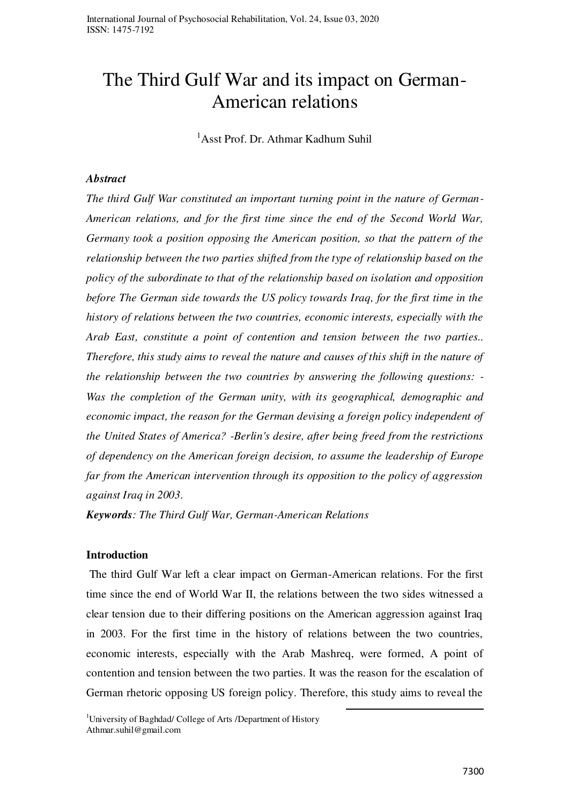# The Third Gulf War and its impact on German-American relations

<sup>1</sup>Asst Prof. Dr. Athmar Kadhum Suhil

#### *Abstract*

*The third Gulf War constituted an important turning point in the nature of German-American relations, and for the first time since the end of the Second World War, Germany took a position opposing the American position, so that the pattern of the relationship between the two parties shifted from the type of relationship based on the policy of the subordinate to that of the relationship based on isolation and opposition before The German side towards the US policy towards Iraq, for the first time in the history of relations between the two countries, economic interests, especially with the Arab East, constitute a point of contention and tension between the two parties.. Therefore, this study aims to reveal the nature and causes of this shift in the nature of the relationship between the two countries by answering the following questions: - Was the completion of the German unity, with its geographical, demographic and economic impact, the reason for the German devising a foreign policy independent of the United States of America? -Berlin's desire, after being freed from the restrictions of dependency on the American foreign decision, to assume the leadership of Europe far from the American intervention through its opposition to the policy of aggression against Iraq in 2003.* 

*Keywords: The Third Gulf War, German-American Relations*

## **Introduction**

 The third Gulf War left a clear impact on German-American relations. For the first time since the end of World War II, the relations between the two sides witnessed a clear tension due to their differing positions on the American aggression against Iraq in 2003. For the first time in the history of relations between the two countries, economic interests, especially with the Arab Mashreq, were formed, A point of contention and tension between the two parties. It was the reason for the escalation of German rhetoric opposing US foreign policy. Therefore, this study aims to reveal the

.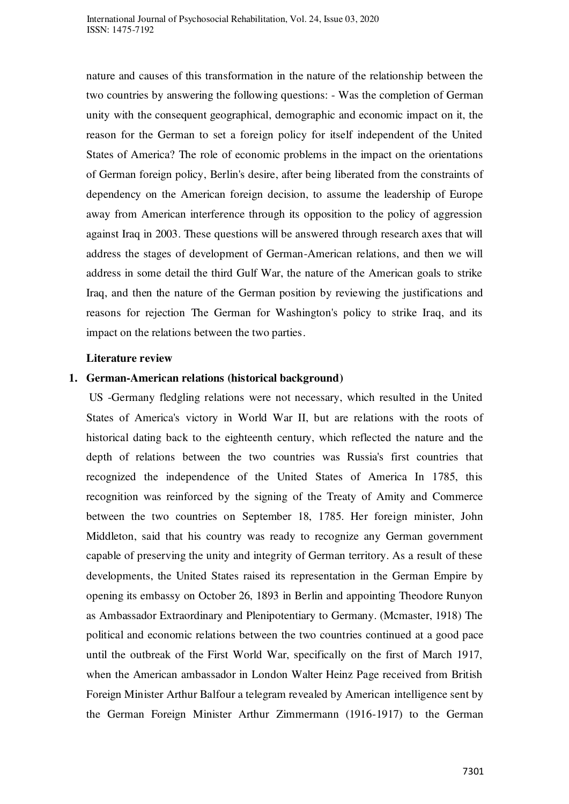nature and causes of this transformation in the nature of the relationship between the two countries by answering the following questions: - Was the completion of German unity with the consequent geographical, demographic and economic impact on it, the reason for the German to set a foreign policy for itself independent of the United States of America? The role of economic problems in the impact on the orientations of German foreign policy, Berlin's desire, after being liberated from the constraints of dependency on the American foreign decision, to assume the leadership of Europe away from American interference through its opposition to the policy of aggression against Iraq in 2003. These questions will be answered through research axes that will address the stages of development of German-American relations, and then we will address in some detail the third Gulf War, the nature of the American goals to strike Iraq, and then the nature of the German position by reviewing the justifications and reasons for rejection The German for Washington's policy to strike Iraq, and its impact on the relations between the two parties.

#### **Literature review**

## **1. German-American relations (historical background)**

 US -Germany fledgling relations were not necessary, which resulted in the United States of America's victory in World War II, but are relations with the roots of historical dating back to the eighteenth century, which reflected the nature and the depth of relations between the two countries was Russia's first countries that recognized the independence of the United States of America In 1785, this recognition was reinforced by the signing of the Treaty of Amity and Commerce between the two countries on September 18, 1785. Her foreign minister, John Middleton, said that his country was ready to recognize any German government capable of preserving the unity and integrity of German territory. As a result of these developments, the United States raised its representation in the German Empire by opening its embassy on October 26, 1893 in Berlin and appointing Theodore Runyon as Ambassador Extraordinary and Plenipotentiary to Germany. (Mcmaster, 1918) The political and economic relations between the two countries continued at a good pace until the outbreak of the First World War, specifically on the first of March 1917, when the American ambassador in London Walter Heinz Page received from British Foreign Minister Arthur Balfour a telegram revealed by American intelligence sent by the German Foreign Minister Arthur Zimmermann (1916-1917) to the German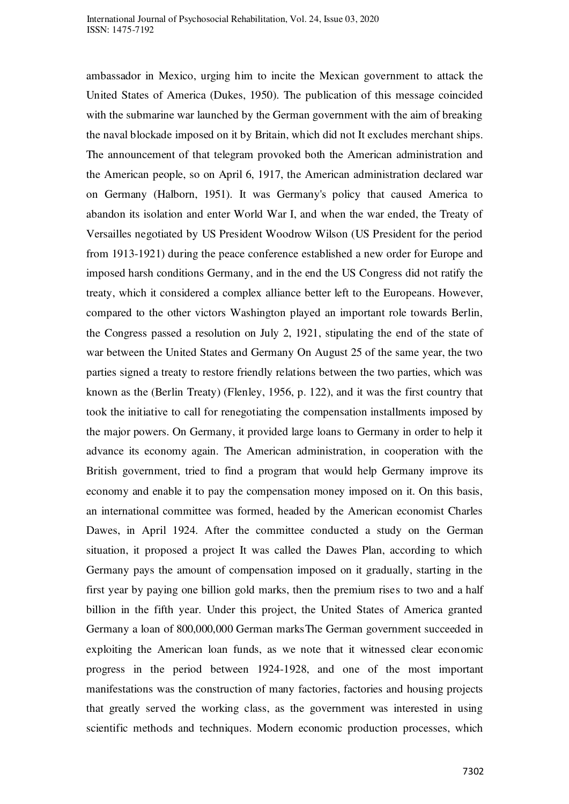ambassador in Mexico, urging him to incite the Mexican government to attack the United States of America (Dukes, 1950). The publication of this message coincided with the submarine war launched by the German government with the aim of breaking the naval blockade imposed on it by Britain, which did not It excludes merchant ships. The announcement of that telegram provoked both the American administration and the American people, so on April 6, 1917, the American administration declared war on Germany (Halborn, 1951). It was Germany's policy that caused America to abandon its isolation and enter World War I, and when the war ended, the Treaty of Versailles negotiated by US President Woodrow Wilson (US President for the period from 1913-1921) during the peace conference established a new order for Europe and imposed harsh conditions Germany, and in the end the US Congress did not ratify the treaty, which it considered a complex alliance better left to the Europeans. However, compared to the other victors Washington played an important role towards Berlin, the Congress passed a resolution on July 2, 1921, stipulating the end of the state of war between the United States and Germany On August 25 of the same year, the two parties signed a treaty to restore friendly relations between the two parties, which was known as the (Berlin Treaty) (Flenley, 1956, p. 122), and it was the first country that took the initiative to call for renegotiating the compensation installments imposed by the major powers. On Germany, it provided large loans to Germany in order to help it advance its economy again. The American administration, in cooperation with the British government, tried to find a program that would help Germany improve its economy and enable it to pay the compensation money imposed on it. On this basis, an international committee was formed, headed by the American economist Charles Dawes, in April 1924. After the committee conducted a study on the German situation, it proposed a project It was called the Dawes Plan, according to which Germany pays the amount of compensation imposed on it gradually, starting in the first year by paying one billion gold marks, then the premium rises to two and a half billion in the fifth year. Under this project, the United States of America granted Germany a loan of 800,000,000 German marksThe German government succeeded in exploiting the American loan funds, as we note that it witnessed clear economic progress in the period between 1924-1928, and one of the most important manifestations was the construction of many factories, factories and housing projects that greatly served the working class, as the government was interested in using scientific methods and techniques. Modern economic production processes, which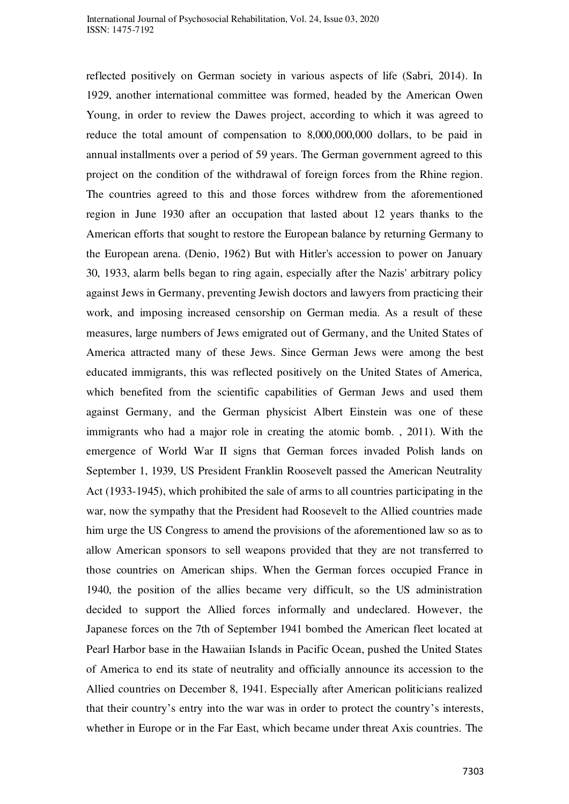reflected positively on German society in various aspects of life (Sabri, 2014). In 1929, another international committee was formed, headed by the American Owen Young, in order to review the Dawes project, according to which it was agreed to reduce the total amount of compensation to 8,000,000,000 dollars, to be paid in annual installments over a period of 59 years. The German government agreed to this project on the condition of the withdrawal of foreign forces from the Rhine region. The countries agreed to this and those forces withdrew from the aforementioned region in June 1930 after an occupation that lasted about 12 years thanks to the American efforts that sought to restore the European balance by returning Germany to the European arena. (Denio, 1962) But with Hitler's accession to power on January 30, 1933, alarm bells began to ring again, especially after the Nazis' arbitrary policy against Jews in Germany, preventing Jewish doctors and lawyers from practicing their work, and imposing increased censorship on German media. As a result of these measures, large numbers of Jews emigrated out of Germany, and the United States of America attracted many of these Jews. Since German Jews were among the best educated immigrants, this was reflected positively on the United States of America, which benefited from the scientific capabilities of German Jews and used them against Germany, and the German physicist Albert Einstein was one of these immigrants who had a major role in creating the atomic bomb. , 2011). With the emergence of World War II signs that German forces invaded Polish lands on September 1, 1939, US President Franklin Roosevelt passed the American Neutrality Act (1933-1945), which prohibited the sale of arms to all countries participating in the war, now the sympathy that the President had Roosevelt to the Allied countries made him urge the US Congress to amend the provisions of the aforementioned law so as to allow American sponsors to sell weapons provided that they are not transferred to those countries on American ships. When the German forces occupied France in 1940, the position of the allies became very difficult, so the US administration decided to support the Allied forces informally and undeclared. However, the Japanese forces on the 7th of September 1941 bombed the American fleet located at Pearl Harbor base in the Hawaiian Islands in Pacific Ocean, pushed the United States of America to end its state of neutrality and officially announce its accession to the Allied countries on December 8, 1941. Especially after American politicians realized that their country's entry into the war was in order to protect the country's interests, whether in Europe or in the Far East, which became under threat Axis countries. The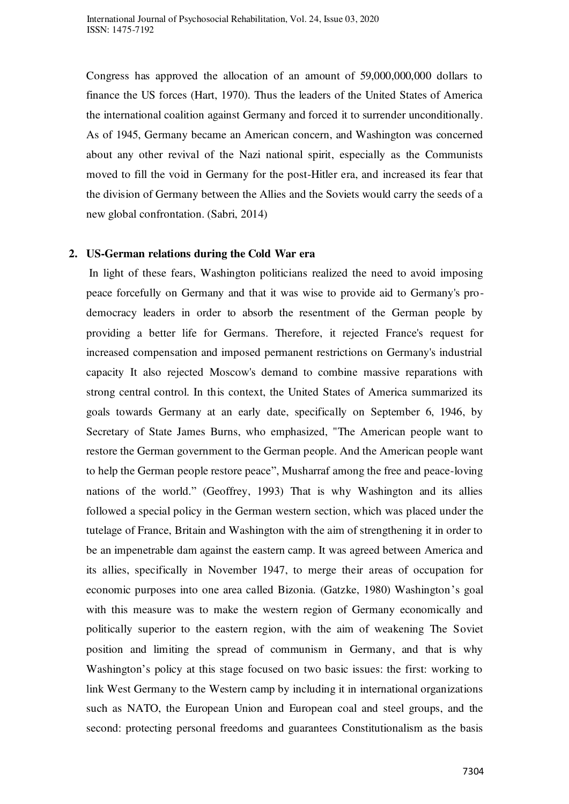Congress has approved the allocation of an amount of 59,000,000,000 dollars to finance the US forces (Hart, 1970). Thus the leaders of the United States of America the international coalition against Germany and forced it to surrender unconditionally. As of 1945, Germany became an American concern, and Washington was concerned about any other revival of the Nazi national spirit, especially as the Communists moved to fill the void in Germany for the post-Hitler era, and increased its fear that the division of Germany between the Allies and the Soviets would carry the seeds of a new global confrontation. (Sabri, 2014)

#### **2. US-German relations during the Cold War era**

 In light of these fears, Washington politicians realized the need to avoid imposing peace forcefully on Germany and that it was wise to provide aid to Germany's prodemocracy leaders in order to absorb the resentment of the German people by providing a better life for Germans. Therefore, it rejected France's request for increased compensation and imposed permanent restrictions on Germany's industrial capacity It also rejected Moscow's demand to combine massive reparations with strong central control. In this context, the United States of America summarized its goals towards Germany at an early date, specifically on September 6, 1946, by Secretary of State James Burns, who emphasized, "The American people want to restore the German government to the German people. And the American people want to help the German people restore peace", Musharraf among the free and peace-loving nations of the world." (Geoffrey, 1993) That is why Washington and its allies followed a special policy in the German western section, which was placed under the tutelage of France, Britain and Washington with the aim of strengthening it in order to be an impenetrable dam against the eastern camp. It was agreed between America and its allies, specifically in November 1947, to merge their areas of occupation for economic purposes into one area called Bizonia. (Gatzke, 1980) Washington's goal with this measure was to make the western region of Germany economically and politically superior to the eastern region, with the aim of weakening The Soviet position and limiting the spread of communism in Germany, and that is why Washington's policy at this stage focused on two basic issues: the first: working to link West Germany to the Western camp by including it in international organizations such as NATO, the European Union and European coal and steel groups, and the second: protecting personal freedoms and guarantees Constitutionalism as the basis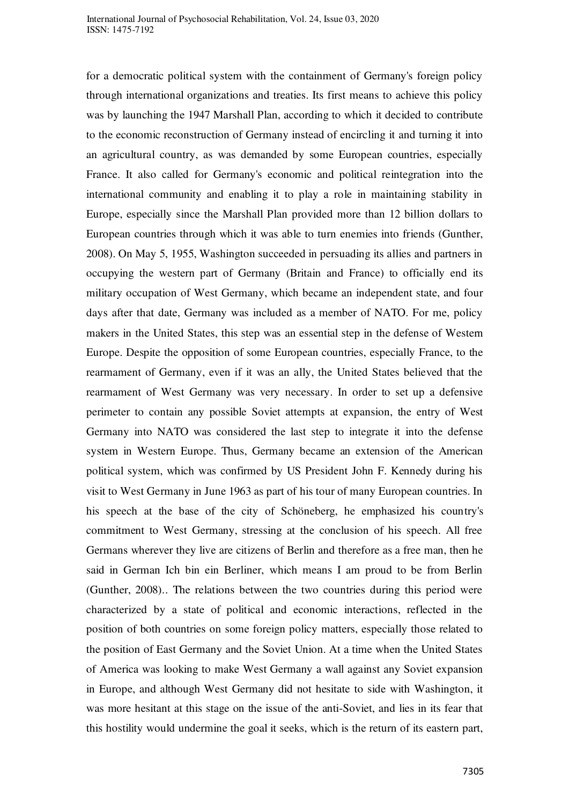for a democratic political system with the containment of Germany's foreign policy through international organizations and treaties. Its first means to achieve this policy was by launching the 1947 Marshall Plan, according to which it decided to contribute to the economic reconstruction of Germany instead of encircling it and turning it into an agricultural country, as was demanded by some European countries, especially France. It also called for Germany's economic and political reintegration into the international community and enabling it to play a role in maintaining stability in Europe, especially since the Marshall Plan provided more than 12 billion dollars to European countries through which it was able to turn enemies into friends (Gunther, 2008). On May 5, 1955, Washington succeeded in persuading its allies and partners in occupying the western part of Germany (Britain and France) to officially end its military occupation of West Germany, which became an independent state, and four days after that date, Germany was included as a member of NATO. For me, policy makers in the United States, this step was an essential step in the defense of Western Europe. Despite the opposition of some European countries, especially France, to the rearmament of Germany, even if it was an ally, the United States believed that the rearmament of West Germany was very necessary. In order to set up a defensive perimeter to contain any possible Soviet attempts at expansion, the entry of West Germany into NATO was considered the last step to integrate it into the defense system in Western Europe. Thus, Germany became an extension of the American political system, which was confirmed by US President John F. Kennedy during his visit to West Germany in June 1963 as part of his tour of many European countries. In his speech at the base of the city of Schöneberg, he emphasized his country's commitment to West Germany, stressing at the conclusion of his speech. All free Germans wherever they live are citizens of Berlin and therefore as a free man, then he said in German Ich bin ein Berliner, which means I am proud to be from Berlin (Gunther, 2008).. The relations between the two countries during this period were characterized by a state of political and economic interactions, reflected in the position of both countries on some foreign policy matters, especially those related to the position of East Germany and the Soviet Union. At a time when the United States of America was looking to make West Germany a wall against any Soviet expansion in Europe, and although West Germany did not hesitate to side with Washington, it was more hesitant at this stage on the issue of the anti-Soviet, and lies in its fear that this hostility would undermine the goal it seeks, which is the return of its eastern part,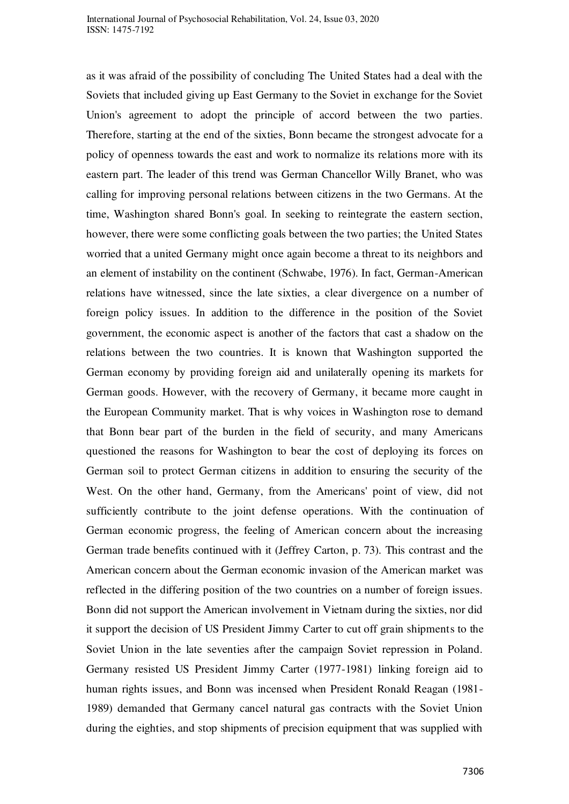as it was afraid of the possibility of concluding The United States had a deal with the Soviets that included giving up East Germany to the Soviet in exchange for the Soviet Union's agreement to adopt the principle of accord between the two parties. Therefore, starting at the end of the sixties, Bonn became the strongest advocate for a policy of openness towards the east and work to normalize its relations more with its eastern part. The leader of this trend was German Chancellor Willy Branet, who was calling for improving personal relations between citizens in the two Germans. At the time, Washington shared Bonn's goal. In seeking to reintegrate the eastern section, however, there were some conflicting goals between the two parties; the United States worried that a united Germany might once again become a threat to its neighbors and an element of instability on the continent (Schwabe, 1976). In fact, German-American relations have witnessed, since the late sixties, a clear divergence on a number of foreign policy issues. In addition to the difference in the position of the Soviet government, the economic aspect is another of the factors that cast a shadow on the relations between the two countries. It is known that Washington supported the German economy by providing foreign aid and unilaterally opening its markets for German goods. However, with the recovery of Germany, it became more caught in the European Community market. That is why voices in Washington rose to demand that Bonn bear part of the burden in the field of security, and many Americans questioned the reasons for Washington to bear the cost of deploying its forces on German soil to protect German citizens in addition to ensuring the security of the West. On the other hand, Germany, from the Americans' point of view, did not sufficiently contribute to the joint defense operations. With the continuation of German economic progress, the feeling of American concern about the increasing German trade benefits continued with it (Jeffrey Carton, p. 73). This contrast and the American concern about the German economic invasion of the American market was reflected in the differing position of the two countries on a number of foreign issues. Bonn did not support the American involvement in Vietnam during the sixties, nor did it support the decision of US President Jimmy Carter to cut off grain shipments to the Soviet Union in the late seventies after the campaign Soviet repression in Poland. Germany resisted US President Jimmy Carter (1977-1981) linking foreign aid to human rights issues, and Bonn was incensed when President Ronald Reagan (1981- 1989) demanded that Germany cancel natural gas contracts with the Soviet Union during the eighties, and stop shipments of precision equipment that was supplied with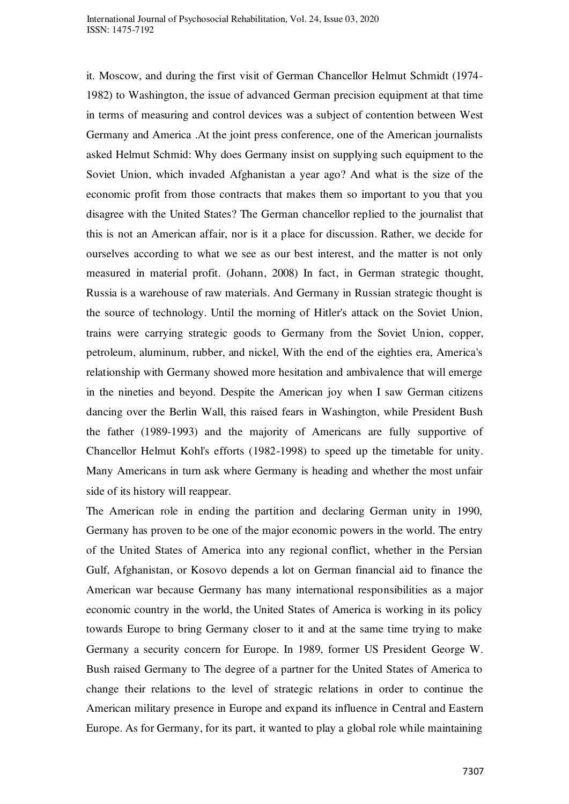International Journal of Psychosocial Rehabilitation, Vol. 24, Issue 03, 2020 ISSN: 1475-7192

it. Moscow, and during the first visit of German Chancellor Helmut Schmidt (1974- 1982) to Washington, the issue of advanced German precision equipment at that time in terms of measuring and control devices was a subject of contention between West Germany and America .At the joint press conference, one of the American journalists asked Helmut Schmid: Why does Germany insist on supplying such equipment to the Soviet Union, which invaded Afghanistan a year ago? And what is the size of the economic profit from those contracts that makes them so important to you that you disagree with the United States? The German chancellor replied to the journalist that this is not an American affair, nor is it a place for discussion. Rather, we decide for ourselves according to what we see as our best interest, and the matter is not only measured in material profit. (Johann, 2008) In fact, in German strategic thought, Russia is a warehouse of raw materials. And Germany in Russian strategic thought is the source of technology. Until the morning of Hitler's attack on the Soviet Union, trains were carrying strategic goods to Germany from the Soviet Union, copper, petroleum, aluminum, rubber, and nickel, With the end of the eighties era, America's relationship with Germany showed more hesitation and ambivalence that will emerge in the nineties and beyond. Despite the American joy when I saw German citizens dancing over the Berlin Wall, this raised fears in Washington, while President Bush the father (1989-1993) and the majority of Americans are fully supportive of Chancellor Helmut Kohl's efforts (1982-1998) to speed up the timetable for unity. Many Americans in turn ask where Germany is heading and whether the most unfair side of its history will reappear.

The American role in ending the partition and declaring German unity in 1990, Germany has proven to be one of the major economic powers in the world. The entry of the United States of America into any regional conflict, whether in the Persian Gulf, Afghanistan, or Kosovo depends a lot on German financial aid to finance the American war because Germany has many international responsibilities as a major economic country in the world, the United States of America is working in its policy towards Europe to bring Germany closer to it and at the same time trying to make Germany a security concern for Europe. In 1989, former US President George W. Bush raised Germany to The degree of a partner for the United States of America to change their relations to the level of strategic relations in order to continue the American military presence in Europe and expand its influence in Central and Eastern Europe. As for Germany, for its part, it wanted to play a global role while maintaining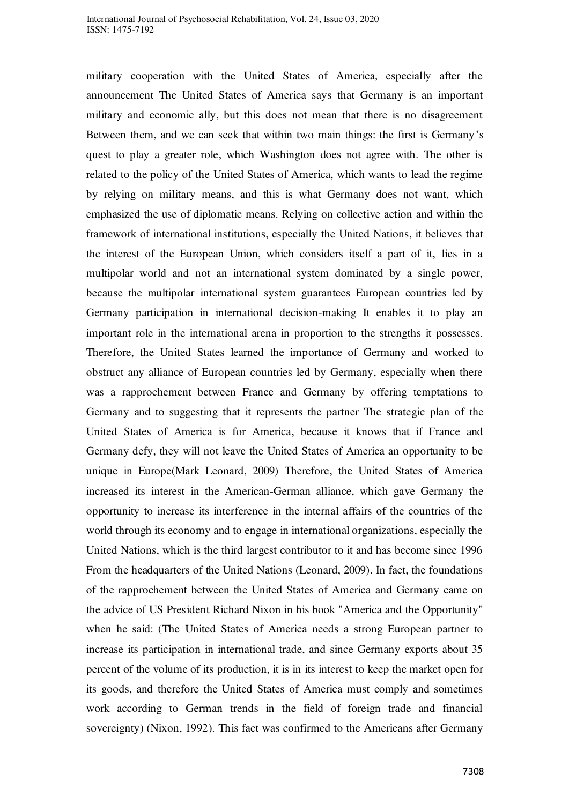military cooperation with the United States of America, especially after the announcement The United States of America says that Germany is an important military and economic ally, but this does not mean that there is no disagreement Between them, and we can seek that within two main things: the first is Germany's quest to play a greater role, which Washington does not agree with. The other is related to the policy of the United States of America, which wants to lead the regime by relying on military means, and this is what Germany does not want, which emphasized the use of diplomatic means. Relying on collective action and within the framework of international institutions, especially the United Nations, it believes that the interest of the European Union, which considers itself a part of it, lies in a multipolar world and not an international system dominated by a single power, because the multipolar international system guarantees European countries led by Germany participation in international decision-making It enables it to play an important role in the international arena in proportion to the strengths it possesses. Therefore, the United States learned the importance of Germany and worked to obstruct any alliance of European countries led by Germany, especially when there was a rapprochement between France and Germany by offering temptations to Germany and to suggesting that it represents the partner The strategic plan of the United States of America is for America, because it knows that if France and Germany defy, they will not leave the United States of America an opportunity to be unique in Europe(Mark Leonard, 2009) Therefore, the United States of America increased its interest in the American-German alliance, which gave Germany the opportunity to increase its interference in the internal affairs of the countries of the world through its economy and to engage in international organizations, especially the United Nations, which is the third largest contributor to it and has become since 1996 From the headquarters of the United Nations (Leonard, 2009). In fact, the foundations of the rapprochement between the United States of America and Germany came on the advice of US President Richard Nixon in his book "America and the Opportunity" when he said: (The United States of America needs a strong European partner to increase its participation in international trade, and since Germany exports about 35 percent of the volume of its production, it is in its interest to keep the market open for its goods, and therefore the United States of America must comply and sometimes work according to German trends in the field of foreign trade and financial sovereignty) (Nixon, 1992). This fact was confirmed to the Americans after Germany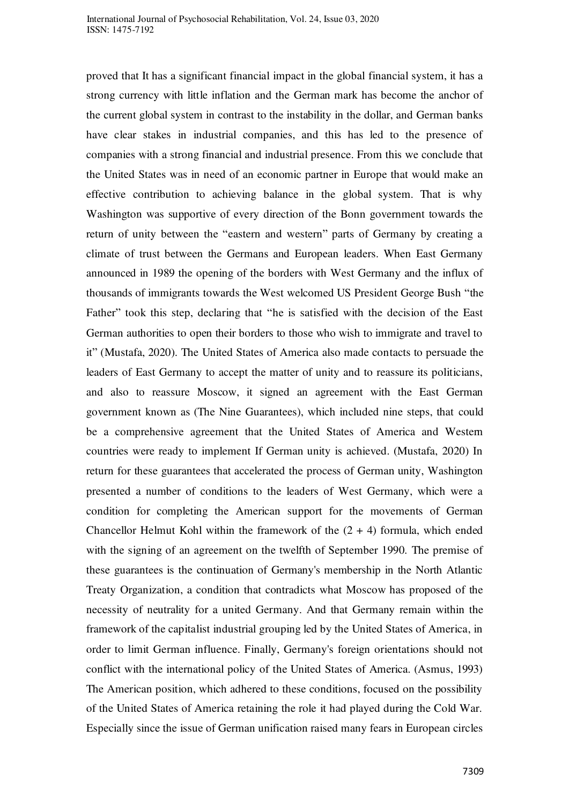proved that It has a significant financial impact in the global financial system, it has a strong currency with little inflation and the German mark has become the anchor of the current global system in contrast to the instability in the dollar, and German banks have clear stakes in industrial companies, and this has led to the presence of companies with a strong financial and industrial presence. From this we conclude that the United States was in need of an economic partner in Europe that would make an effective contribution to achieving balance in the global system. That is why Washington was supportive of every direction of the Bonn government towards the return of unity between the "eastern and western" parts of Germany by creating a climate of trust between the Germans and European leaders. When East Germany announced in 1989 the opening of the borders with West Germany and the influx of thousands of immigrants towards the West welcomed US President George Bush "the Father" took this step, declaring that "he is satisfied with the decision of the East German authorities to open their borders to those who wish to immigrate and travel to it" (Mustafa, 2020). The United States of America also made contacts to persuade the leaders of East Germany to accept the matter of unity and to reassure its politicians, and also to reassure Moscow, it signed an agreement with the East German government known as (The Nine Guarantees), which included nine steps, that could be a comprehensive agreement that the United States of America and Western countries were ready to implement If German unity is achieved. (Mustafa, 2020) In return for these guarantees that accelerated the process of German unity, Washington presented a number of conditions to the leaders of West Germany, which were a condition for completing the American support for the movements of German Chancellor Helmut Kohl within the framework of the  $(2 + 4)$  formula, which ended with the signing of an agreement on the twelfth of September 1990. The premise of these guarantees is the continuation of Germany's membership in the North Atlantic Treaty Organization, a condition that contradicts what Moscow has proposed of the necessity of neutrality for a united Germany. And that Germany remain within the framework of the capitalist industrial grouping led by the United States of America, in order to limit German influence. Finally, Germany's foreign orientations should not conflict with the international policy of the United States of America. (Asmus, 1993) The American position, which adhered to these conditions, focused on the possibility of the United States of America retaining the role it had played during the Cold War. Especially since the issue of German unification raised many fears in European circles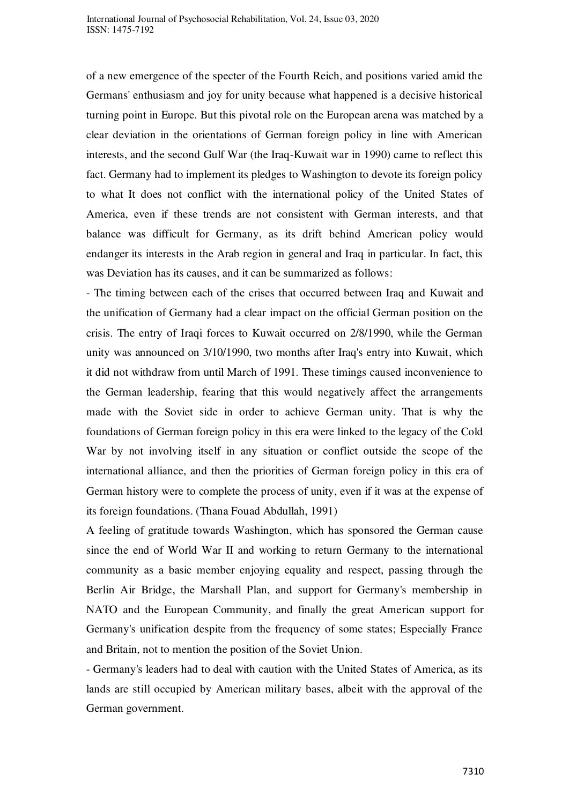of a new emergence of the specter of the Fourth Reich, and positions varied amid the Germans' enthusiasm and joy for unity because what happened is a decisive historical turning point in Europe. But this pivotal role on the European arena was matched by a clear deviation in the orientations of German foreign policy in line with American interests, and the second Gulf War (the Iraq-Kuwait war in 1990) came to reflect this fact. Germany had to implement its pledges to Washington to devote its foreign policy to what It does not conflict with the international policy of the United States of America, even if these trends are not consistent with German interests, and that balance was difficult for Germany, as its drift behind American policy would endanger its interests in the Arab region in general and Iraq in particular. In fact, this was Deviation has its causes, and it can be summarized as follows:

- The timing between each of the crises that occurred between Iraq and Kuwait and the unification of Germany had a clear impact on the official German position on the crisis. The entry of Iraqi forces to Kuwait occurred on 2/8/1990, while the German unity was announced on 3/10/1990, two months after Iraq's entry into Kuwait, which it did not withdraw from until March of 1991. These timings caused inconvenience to the German leadership, fearing that this would negatively affect the arrangements made with the Soviet side in order to achieve German unity. That is why the foundations of German foreign policy in this era were linked to the legacy of the Cold War by not involving itself in any situation or conflict outside the scope of the international alliance, and then the priorities of German foreign policy in this era of German history were to complete the process of unity, even if it was at the expense of its foreign foundations. (Thana Fouad Abdullah, 1991)

A feeling of gratitude towards Washington, which has sponsored the German cause since the end of World War II and working to return Germany to the international community as a basic member enjoying equality and respect, passing through the Berlin Air Bridge, the Marshall Plan, and support for Germany's membership in NATO and the European Community, and finally the great American support for Germany's unification despite from the frequency of some states; Especially France and Britain, not to mention the position of the Soviet Union.

- Germany's leaders had to deal with caution with the United States of America, as its lands are still occupied by American military bases, albeit with the approval of the German government.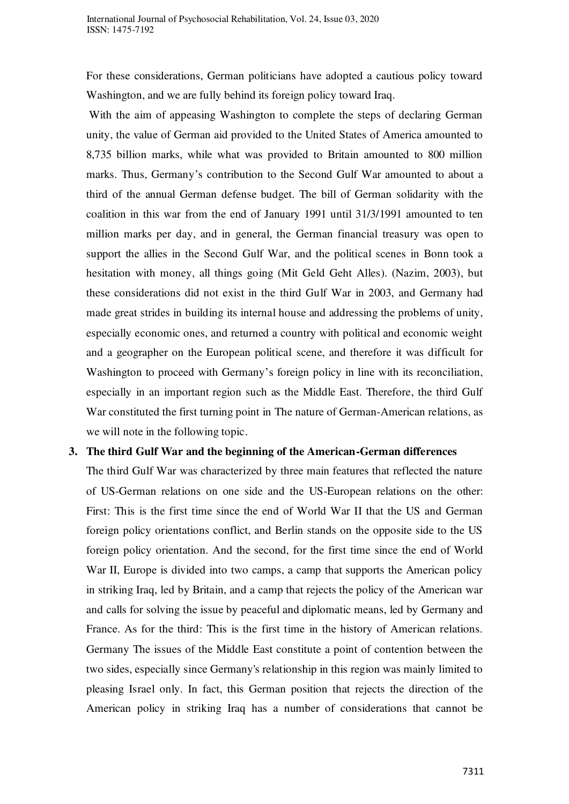For these considerations, German politicians have adopted a cautious policy toward Washington, and we are fully behind its foreign policy toward Iraq.

 With the aim of appeasing Washington to complete the steps of declaring German unity, the value of German aid provided to the United States of America amounted to 8,735 billion marks, while what was provided to Britain amounted to 800 million marks. Thus, Germany's contribution to the Second Gulf War amounted to about a third of the annual German defense budget. The bill of German solidarity with the coalition in this war from the end of January 1991 until 31/3/1991 amounted to ten million marks per day, and in general, the German financial treasury was open to support the allies in the Second Gulf War, and the political scenes in Bonn took a hesitation with money, all things going (Mit Geld Geht Alles). (Nazim, 2003), but these considerations did not exist in the third Gulf War in 2003, and Germany had made great strides in building its internal house and addressing the problems of unity, especially economic ones, and returned a country with political and economic weight and a geographer on the European political scene, and therefore it was difficult for Washington to proceed with Germany's foreign policy in line with its reconciliation, especially in an important region such as the Middle East. Therefore, the third Gulf War constituted the first turning point in The nature of German-American relations, as we will note in the following topic.

## **3. The third Gulf War and the beginning of the American-German differences**

The third Gulf War was characterized by three main features that reflected the nature of US-German relations on one side and the US-European relations on the other: First: This is the first time since the end of World War II that the US and German foreign policy orientations conflict, and Berlin stands on the opposite side to the US foreign policy orientation. And the second, for the first time since the end of World War II, Europe is divided into two camps, a camp that supports the American policy in striking Iraq, led by Britain, and a camp that rejects the policy of the American war and calls for solving the issue by peaceful and diplomatic means, led by Germany and France. As for the third: This is the first time in the history of American relations. Germany The issues of the Middle East constitute a point of contention between the two sides, especially since Germany's relationship in this region was mainly limited to pleasing Israel only. In fact, this German position that rejects the direction of the American policy in striking Iraq has a number of considerations that cannot be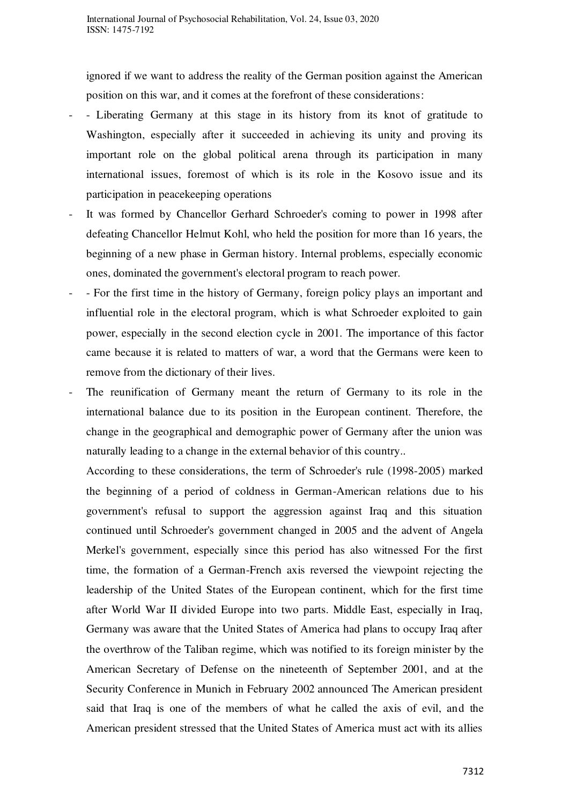ignored if we want to address the reality of the German position against the American position on this war, and it comes at the forefront of these considerations:

- Liberating Germany at this stage in its history from its knot of gratitude to Washington, especially after it succeeded in achieving its unity and proving its important role on the global political arena through its participation in many international issues, foremost of which is its role in the Kosovo issue and its participation in peacekeeping operations
- It was formed by Chancellor Gerhard Schroeder's coming to power in 1998 after defeating Chancellor Helmut Kohl, who held the position for more than 16 years, the beginning of a new phase in German history. Internal problems, especially economic ones, dominated the government's electoral program to reach power.
- For the first time in the history of Germany, foreign policy plays an important and influential role in the electoral program, which is what Schroeder exploited to gain power, especially in the second election cycle in 2001. The importance of this factor came because it is related to matters of war, a word that the Germans were keen to remove from the dictionary of their lives.
- The reunification of Germany meant the return of Germany to its role in the international balance due to its position in the European continent. Therefore, the change in the geographical and demographic power of Germany after the union was naturally leading to a change in the external behavior of this country. .

According to these considerations, the term of Schroeder's rule (1998-2005) marked the beginning of a period of coldness in German-American relations due to his government's refusal to support the aggression against Iraq and this situation continued until Schroeder's government changed in 2005 and the advent of Angela Merkel's government, especially since this period has also witnessed For the first time, the formation of a German-French axis reversed the viewpoint rejecting the leadership of the United States of the European continent, which for the first time after World War II divided Europe into two parts. Middle East, especially in Iraq, Germany was aware that the United States of America had plans to occupy Iraq after the overthrow of the Taliban regime, which was notified to its foreign minister by the American Secretary of Defense on the nineteenth of September 2001, and at the Security Conference in Munich in February 2002 announced The American president said that Iraq is one of the members of what he called the axis of evil, and the American president stressed that the United States of America must act with its allies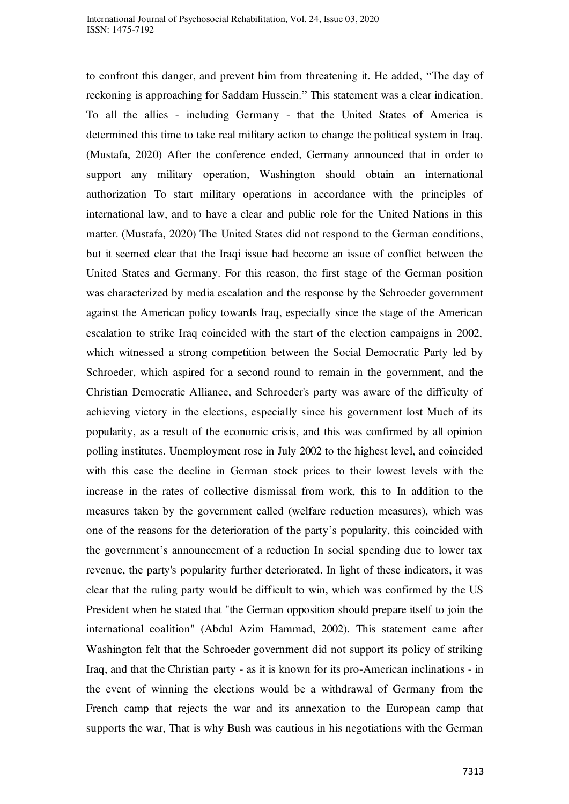to confront this danger, and prevent him from threatening it. He added, "The day of reckoning is approaching for Saddam Hussein." This statement was a clear indication. To all the allies - including Germany - that the United States of America is determined this time to take real military action to change the political system in Iraq. (Mustafa, 2020) After the conference ended, Germany announced that in order to support any military operation, Washington should obtain an international authorization To start military operations in accordance with the principles of international law, and to have a clear and public role for the United Nations in this matter. (Mustafa, 2020) The United States did not respond to the German conditions, but it seemed clear that the Iraqi issue had become an issue of conflict between the United States and Germany. For this reason, the first stage of the German position was characterized by media escalation and the response by the Schroeder government against the American policy towards Iraq, especially since the stage of the American escalation to strike Iraq coincided with the start of the election campaigns in 2002, which witnessed a strong competition between the Social Democratic Party led by Schroeder, which aspired for a second round to remain in the government, and the Christian Democratic Alliance, and Schroeder's party was aware of the difficulty of achieving victory in the elections, especially since his government lost Much of its popularity, as a result of the economic crisis, and this was confirmed by all opinion polling institutes. Unemployment rose in July 2002 to the highest level, and coincided with this case the decline in German stock prices to their lowest levels with the increase in the rates of collective dismissal from work, this to In addition to the measures taken by the government called (welfare reduction measures), which was one of the reasons for the deterioration of the party's popularity, this coincided with the government's announcement of a reduction In social spending due to lower tax revenue, the party's popularity further deteriorated. In light of these indicators, it was clear that the ruling party would be difficult to win, which was confirmed by the US President when he stated that "the German opposition should prepare itself to join the international coalition" (Abdul Azim Hammad, 2002). This statement came after Washington felt that the Schroeder government did not support its policy of striking Iraq, and that the Christian party - as it is known for its pro-American inclinations - in the event of winning the elections would be a withdrawal of Germany from the French camp that rejects the war and its annexation to the European camp that supports the war, That is why Bush was cautious in his negotiations with the German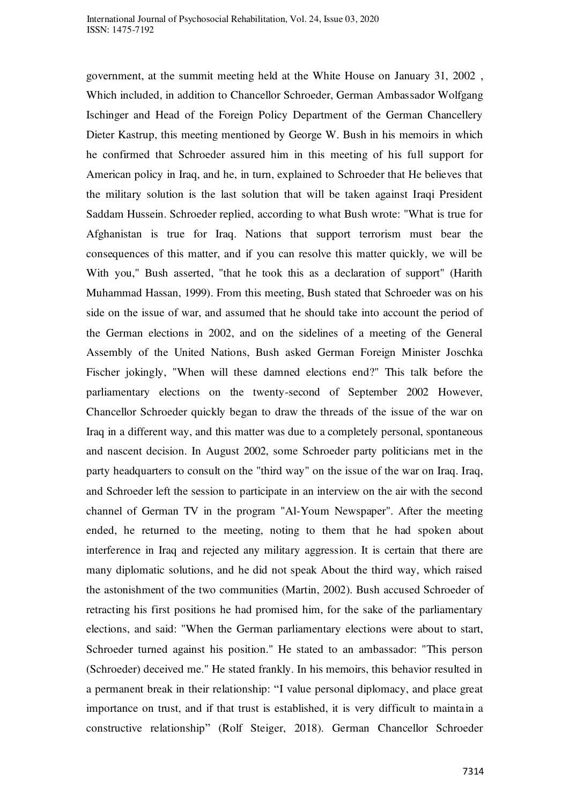government, at the summit meeting held at the White House on January 31, 2002 , Which included, in addition to Chancellor Schroeder, German Ambassador Wolfgang Ischinger and Head of the Foreign Policy Department of the German Chancellery Dieter Kastrup, this meeting mentioned by George W. Bush in his memoirs in which he confirmed that Schroeder assured him in this meeting of his full support for American policy in Iraq, and he, in turn, explained to Schroeder that He believes that the military solution is the last solution that will be taken against Iraqi President Saddam Hussein. Schroeder replied, according to what Bush wrote: "What is true for Afghanistan is true for Iraq. Nations that support terrorism must bear the consequences of this matter, and if you can resolve this matter quickly, we will be With you," Bush asserted, "that he took this as a declaration of support" (Harith Muhammad Hassan, 1999). From this meeting, Bush stated that Schroeder was on his side on the issue of war, and assumed that he should take into account the period of the German elections in 2002, and on the sidelines of a meeting of the General Assembly of the United Nations, Bush asked German Foreign Minister Joschka Fischer jokingly, "When will these damned elections end?" This talk before the parliamentary elections on the twenty-second of September 2002 However, Chancellor Schroeder quickly began to draw the threads of the issue of the war on Iraq in a different way, and this matter was due to a completely personal, spontaneous and nascent decision. In August 2002, some Schroeder party politicians met in the party headquarters to consult on the "third way" on the issue of the war on Iraq. Iraq, and Schroeder left the session to participate in an interview on the air with the second channel of German TV in the program "Al-Youm Newspaper". After the meeting ended, he returned to the meeting, noting to them that he had spoken about interference in Iraq and rejected any military aggression. It is certain that there are many diplomatic solutions, and he did not speak About the third way, which raised the astonishment of the two communities (Martin, 2002). Bush accused Schroeder of retracting his first positions he had promised him, for the sake of the parliamentary elections, and said: "When the German parliamentary elections were about to start, Schroeder turned against his position." He stated to an ambassador: "This person (Schroeder) deceived me." He stated frankly. In his memoirs, this behavior resulted in a permanent break in their relationship: "I value personal diplomacy, and place great importance on trust, and if that trust is established, it is very difficult to maintain a constructive relationship" (Rolf Steiger, 2018). German Chancellor Schroeder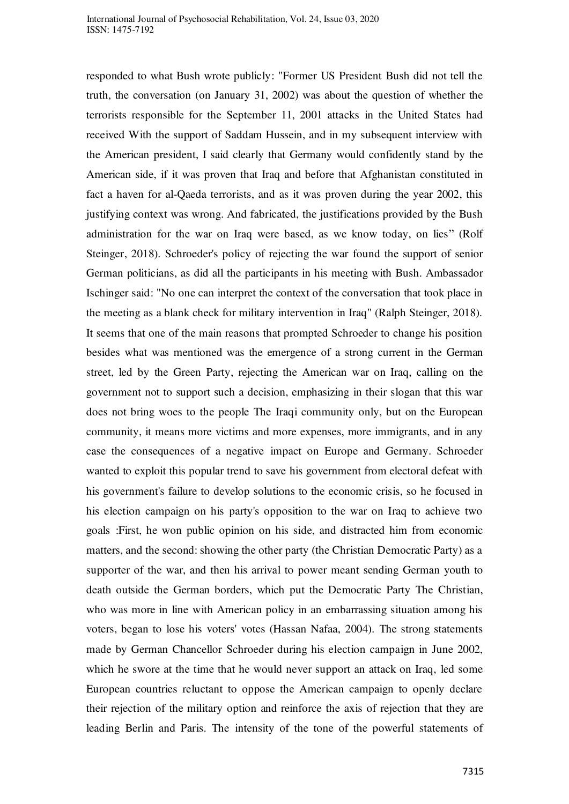responded to what Bush wrote publicly: "Former US President Bush did not tell the truth, the conversation (on January 31, 2002) was about the question of whether the terrorists responsible for the September 11, 2001 attacks in the United States had received With the support of Saddam Hussein, and in my subsequent interview with the American president, I said clearly that Germany would confidently stand by the American side, if it was proven that Iraq and before that Afghanistan constituted in fact a haven for al-Qaeda terrorists, and as it was proven during the year 2002, this justifying context was wrong. And fabricated, the justifications provided by the Bush administration for the war on Iraq were based, as we know today, on lies" (Rolf Steinger, 2018). Schroeder's policy of rejecting the war found the support of senior German politicians, as did all the participants in his meeting with Bush. Ambassador Ischinger said: "No one can interpret the context of the conversation that took place in the meeting as a blank check for military intervention in Iraq" (Ralph Steinger, 2018). It seems that one of the main reasons that prompted Schroeder to change his position besides what was mentioned was the emergence of a strong current in the German street, led by the Green Party, rejecting the American war on Iraq, calling on the government not to support such a decision, emphasizing in their slogan that this war does not bring woes to the people The Iraqi community only, but on the European community, it means more victims and more expenses, more immigrants, and in any case the consequences of a negative impact on Europe and Germany. Schroeder wanted to exploit this popular trend to save his government from electoral defeat with his government's failure to develop solutions to the economic crisis, so he focused in his election campaign on his party's opposition to the war on Iraq to achieve two goals :First, he won public opinion on his side, and distracted him from economic matters, and the second: showing the other party (the Christian Democratic Party) as a supporter of the war, and then his arrival to power meant sending German youth to death outside the German borders, which put the Democratic Party The Christian, who was more in line with American policy in an embarrassing situation among his voters, began to lose his voters' votes (Hassan Nafaa, 2004). The strong statements made by German Chancellor Schroeder during his election campaign in June 2002, which he swore at the time that he would never support an attack on Iraq, led some European countries reluctant to oppose the American campaign to openly declare their rejection of the military option and reinforce the axis of rejection that they are leading Berlin and Paris. The intensity of the tone of the powerful statements of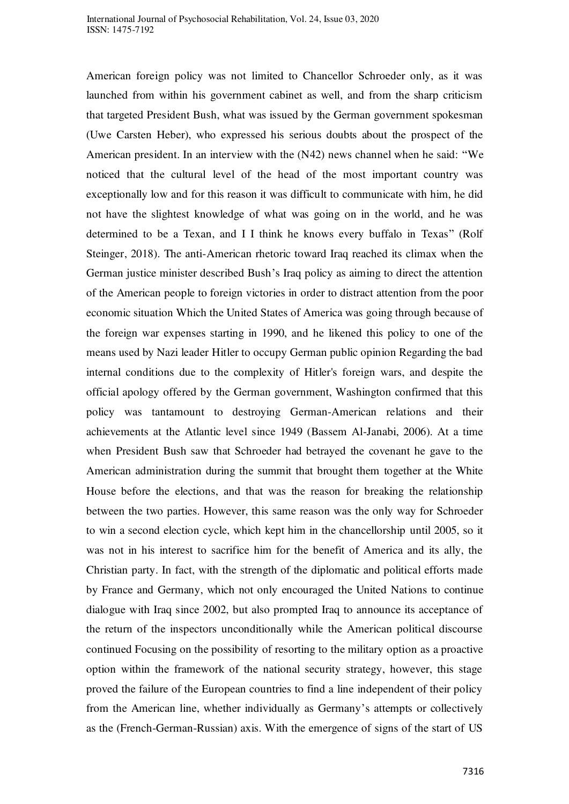American foreign policy was not limited to Chancellor Schroeder only, as it was launched from within his government cabinet as well, and from the sharp criticism that targeted President Bush, what was issued by the German government spokesman (Uwe Carsten Heber), who expressed his serious doubts about the prospect of the American president. In an interview with the (N42) news channel when he said: "We noticed that the cultural level of the head of the most important country was exceptionally low and for this reason it was difficult to communicate with him, he did not have the slightest knowledge of what was going on in the world, and he was determined to be a Texan, and I I think he knows every buffalo in Texas" (Rolf Steinger, 2018). The anti-American rhetoric toward Iraq reached its climax when the German justice minister described Bush's Iraq policy as aiming to direct the attention of the American people to foreign victories in order to distract attention from the poor economic situation Which the United States of America was going through because of the foreign war expenses starting in 1990, and he likened this policy to one of the means used by Nazi leader Hitler to occupy German public opinion Regarding the bad internal conditions due to the complexity of Hitler's foreign wars, and despite the official apology offered by the German government, Washington confirmed that this policy was tantamount to destroying German-American relations and their achievements at the Atlantic level since 1949 (Bassem Al-Janabi, 2006). At a time when President Bush saw that Schroeder had betrayed the covenant he gave to the American administration during the summit that brought them together at the White House before the elections, and that was the reason for breaking the relationship between the two parties. However, this same reason was the only way for Schroeder to win a second election cycle, which kept him in the chancellorship until 2005, so it was not in his interest to sacrifice him for the benefit of America and its ally, the Christian party. In fact, with the strength of the diplomatic and political efforts made by France and Germany, which not only encouraged the United Nations to continue dialogue with Iraq since 2002, but also prompted Iraq to announce its acceptance of the return of the inspectors unconditionally while the American political discourse continued Focusing on the possibility of resorting to the military option as a proactive option within the framework of the national security strategy, however, this stage proved the failure of the European countries to find a line independent of their policy from the American line, whether individually as Germany's attempts or collectively as the (French-German-Russian) axis. With the emergence of signs of the start of US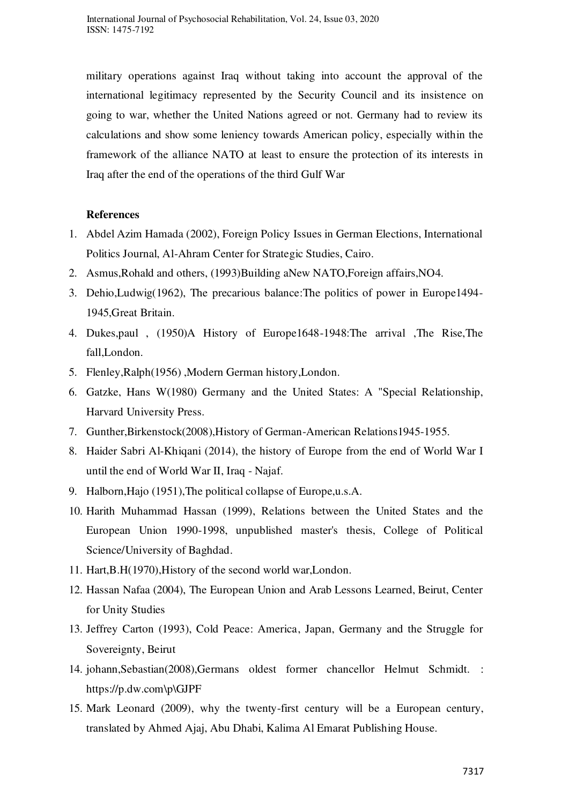military operations against Iraq without taking into account the approval of the international legitimacy represented by the Security Council and its insistence on going to war, whether the United Nations agreed or not. Germany had to review its calculations and show some leniency towards American policy, especially within the framework of the alliance NATO at least to ensure the protection of its interests in Iraq after the end of the operations of the third Gulf War

## **References**

- 1. Abdel Azim Hamada (2002), Foreign Policy Issues in German Elections, International Politics Journal, Al-Ahram Center for Strategic Studies, Cairo.
- 2. Asmus,Rohald and others, (1993)Building aNew NATO,Foreign affairs,NO4.
- 3. Dehio,Ludwig(1962), The precarious balance:The politics of power in Europe1494- 1945,Great Britain.
- 4. Dukes,paul , (1950)A History of Europe1648-1948:The arrival ,The Rise,The fall,London.
- 5. Flenley,Ralph(1956) ,Modern German history,London.
- 6. Gatzke, Hans W(1980) Germany and the United States: A "Special Relationship, Harvard University Press.
- 7. Gunther,Birkenstock(2008),History of German-American Relations1945-1955.
- 8. Haider Sabri Al-Khiqani (2014), the history of Europe from the end of World War I until the end of World War II, Iraq - Najaf.
- 9. Halborn,Hajo (1951),The political collapse of Europe,u.s.A.
- 10. Harith Muhammad Hassan (1999), Relations between the United States and the European Union 1990-1998, unpublished master's thesis, College of Political Science/University of Baghdad.
- 11. Hart,B.H(1970),History of the second world war,London.
- 12. Hassan Nafaa (2004), The European Union and Arab Lessons Learned, Beirut, Center for Unity Studies
- 13. Jeffrey Carton (1993), Cold Peace: America, Japan, Germany and the Struggle for Sovereignty, Beirut
- 14. johann,Sebastian(2008),Germans oldest former chancellor Helmut Schmidt. [:](https://p.dw.com/p/GJPF) [https://p.dw.com\p\GJPF](https://p.dw.com/p/GJPF)
- 15. Mark Leonard (2009), why the twenty-first century will be a European century, translated by Ahmed Ajaj, Abu Dhabi, Kalima Al Emarat Publishing House.